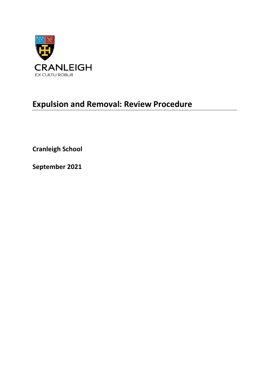

# **Expulsion and Removal: Review Procedure**

**Cranleigh School** 

**September 2021**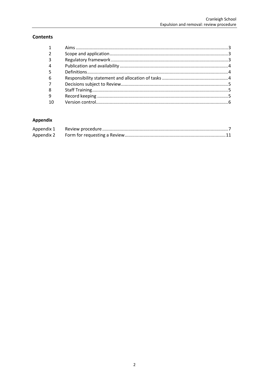# **Contents**

| $\mathbf{1}$            |  |
|-------------------------|--|
|                         |  |
| $\overline{\mathbf{3}}$ |  |
| 4                       |  |
|                         |  |
| 6                       |  |
|                         |  |
| 8                       |  |
| 9                       |  |
| 10                      |  |
|                         |  |

# Appendix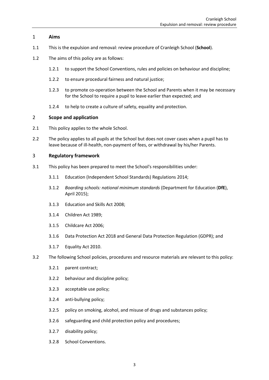# <span id="page-2-0"></span>1 **Aims**

- 1.1 This is the expulsion and removal: review procedure of Cranleigh School (**School**).
- 1.2 The aims of this policy are as follows:
	- 1.2.1 to support the School Conventions, rules and policies on behaviour and discipline;
	- 1.2.2 to ensure procedural fairness and natural justice;
	- 1.2.3 to promote co-operation between the School and Parents when it may be necessary for the School to require a pupil to leave earlier than expected; and
	- 1.2.4 to help to create a culture of safety, equality and protection.

## <span id="page-2-1"></span>2 **Scope and application**

- 2.1 This policy applies to the whole School.
- 2.2 The policy applies to all pupils at the School but does not cover cases when a pupil has to leave because of ill-health, non-payment of fees, or withdrawal by his/her Parents.

## <span id="page-2-2"></span>3 **Regulatory framework**

- 3.1 This policy has been prepared to meet the School's responsibilities under:
	- 3.1.1 Education (Independent School Standards) Regulations 2014;
	- 3.1.2 *Boarding schools: national minimum standards* (Department for Education (**DfE**), April 2015);
	- 3.1.3 Education and Skills Act 2008;
	- 3.1.4 Children Act 1989;
	- 3.1.5 Childcare Act 2006;
	- 3.1.6 Data Protection Act 2018 and General Data Protection Regulation (GDPR); and
	- 3.1.7 Equality Act 2010.
- 3.2 The following School policies, procedures and resource materials are relevant to this policy:
	- 3.2.1 parent contract;
	- 3.2.2 behaviour and discipline policy;
	- 3.2.3 acceptable use policy;
	- 3.2.4 anti-bullying policy;
	- 3.2.5 policy on smoking, alcohol, and misuse of drugs and substances policy;
	- 3.2.6 safeguarding and child protection policy and procedures;
	- 3.2.7 disability policy;
	- 3.2.8 School Conventions.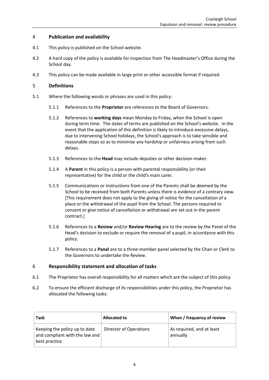# <span id="page-3-0"></span>4 **Publication and availability**

- 4.1 This policy is published on the School website.
- 4.2 A hard copy of the policy is available for inspection from The Headmaster's Office during the School day.
- 4.3 This policy can be made available in large print or other accessible format if required.

## <span id="page-3-1"></span>5 **Definitions**

- 5.1 Where the following words or phrases are used in this policy:
	- 5.1.1 References to the **Proprietor** are references to the Board of Governors.
	- 5.1.2 References to **working days** mean Monday to Friday, when the School is open during term time. The dates of terms are published on the School's website. In the event that the application of this definition is likely to introduce excessive delays, due to intervening School holidays, the School's approach is to take sensible and reasonable steps so as to minimise any hardship or unfairness arising from such delays.
	- 5.1.3 References to the **Head** may include deputies or other decision maker.
	- 5.1.4 A **Parent** in this policy is a person with parental responsibility (or their representative) for the child or the child's main carer.
	- 5.1.5 Communications or instructions from one of the Parents shall be deemed by the School to be received from both Parents unless there is evidence of a contrary view. [This requirement does not apply to the giving of notice for the cancellation of a place or the withdrawal of the pupil from the School. The persons required to consent or give notice of cancellation or withdrawal are set out in the parent contract.]
	- 5.1.6 References to a **Review** and/or **Review Hearing** are to the review by the Panel of the Head's decision to exclude or require the removal of a pupil, in accordance with this policy.
	- 5.1.7 References to a **Panel** are to a three-member panel selected by the Chair or Clerk to the Governors to undertake the Review.

# <span id="page-3-2"></span>6 **Responsibility statement and allocation of tasks**

- 6.1 The Proprietor has overall responsibility for all matters which are the subject of this policy.
- 6.2 To ensure the efficient discharge of its responsibilities under this policy, the Proprietor has allocated the following tasks:

| Task                                                                                 | Allocated to                  | When / frequency of review            |
|--------------------------------------------------------------------------------------|-------------------------------|---------------------------------------|
| Keeping the policy up to date<br>and compliant with the law and $ $<br>best practice | <b>Director of Operations</b> | As required, and at least<br>annually |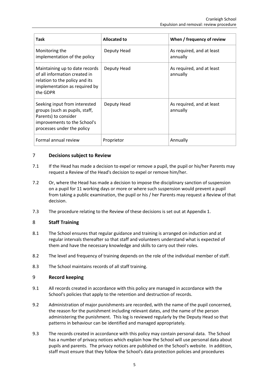| Task                                                                                                                                                  | <b>Allocated to</b> | When / frequency of review            |
|-------------------------------------------------------------------------------------------------------------------------------------------------------|---------------------|---------------------------------------|
| Monitoring the<br>implementation of the policy                                                                                                        | Deputy Head         | As required, and at least<br>annually |
| Maintaining up to date records<br>of all information created in<br>relation to the policy and its<br>implementation as required by<br>the GDPR        | Deputy Head         | As required, and at least<br>annually |
| Seeking input from interested<br>groups (such as pupils, staff,<br>Parents) to consider<br>improvements to the School's<br>processes under the policy | Deputy Head         | As required, and at least<br>annually |
| Formal annual review                                                                                                                                  | Proprietor          | Annually                              |

# <span id="page-4-0"></span>7 **Decisions subject to Review**

- 7.1 If the Head has made a decision to expel or remove a pupil, the pupil or his/her Parents may request a Review of the Head's decision to expel or remove him/her.
- 7.2 Or, where the Head has made a decision to impose the disciplinary sanction of suspension on a pupil for 11 working days or more or where such suspension would prevent a pupil from taking a public examination, the pupil or his / her Parents may request a Review of that decision.
- 7.3 The procedure relating to the Review of these decisions is set out at Appendix 1.

# <span id="page-4-1"></span>8 **Staff Training**

- 8.1 The School ensures that regular guidance and training is arranged on induction and at regular intervals thereafter so that staff and volunteers understand what is expected of them and have the necessary knowledge and skills to carry out their roles.
- 8.2 The level and frequency of training depends on the role of the individual member of staff.
- 8.3 The School maintains records of all staff training.

## <span id="page-4-2"></span>9 **Record keeping**

- 9.1 All records created in accordance with this policy are managed in accordance with the School's policies that apply to the retention and destruction of records.
- 9.2 Administration of major punishments are recorded, with the name of the pupil concerned, the reason for the punishment including relevant dates, and the name of the person administering the punishment. This log is reviewed regularly by the Deputy Head so that patterns in behaviour can be identified and managed appropriately.
- 9.3 The records created in accordance with this policy may contain personal data. The School has a number of privacy notices which explain how the School will use personal data about pupils and parents. The privacy notices are published on the School's website. In addition, staff must ensure that they follow the School's data protection policies and procedures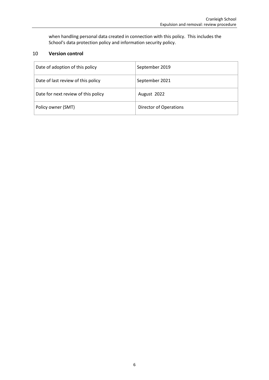when handling personal data created in connection with this policy. This includes the School's data protection policy and information security policy.

# <span id="page-5-0"></span>10 **Version control**

| Date of adoption of this policy     | September 2019                |
|-------------------------------------|-------------------------------|
| Date of last review of this policy  | September 2021                |
| Date for next review of this policy | August 2022                   |
| Policy owner (SMT)                  | <b>Director of Operations</b> |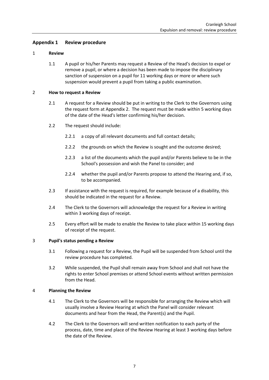# <span id="page-6-0"></span>**Appendix 1 Review procedure**

## 1 **Review**

1.1 A pupil or his/her Parents may request a Review of the Head's decision to expel or remove a pupil, or where a decision has been made to impose the disciplinary sanction of suspension on a pupil for 11 working days or more or where such suspension would prevent a pupil from taking a public examination.

#### 2 **How to request a Review**

- 2.1 A request for a Review should be put in writing to the Clerk to the Governors using the request form at [Appendix 2.](#page-10-0) The request must be made within 5 working days of the date of the Head's letter confirming his/her decision.
- 2.2 The request should include:
	- 2.2.1 a copy of all relevant documents and full contact details;
	- 2.2.2 the grounds on which the Review is sought and the outcome desired;
	- 2.2.3 a list of the documents which the pupil and/or Parents believe to be in the School's possession and wish the Panel to consider; and
	- 2.2.4 whether the pupil and/or Parents propose to attend the Hearing and, if so, to be accompanied.
- 2.3 If assistance with the request is required, for example because of a disability, this should be indicated in the request for a Review.
- 2.4 The Clerk to the Governors will acknowledge the request for a Review in writing within 3 working days of receipt.
- 2.5 Every effort will be made to enable the Review to take place within 15 working days of receipt of the request.

## 3 **Pupil's status pending a Review**

- 3.1 Following a request for a Review, the Pupil will be suspended from School until the review procedure has completed.
- 3.2 While suspended, the Pupil shall remain away from School and shall not have the rights to enter School premises or attend School events without written permission from the Head.

## 4 **Planning the Review**

- 4.1 The Clerk to the Governors will be responsible for arranging the Review which will usually involve a Review Hearing at which the Panel will consider relevant documents and hear from the Head, the Parent(s) and the Pupil.
- 4.2 The Clerk to the Governors will send written notification to each party of the process, date, time and place of the Review Hearing at least 3 working days before the date of the Review.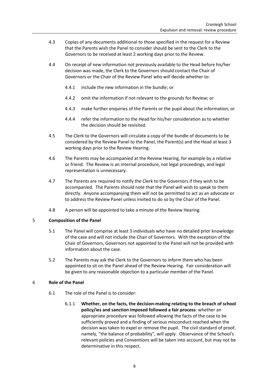- 4.3 Copies of any documents additional to those specified in the request for a Review that the Parents wish the Panel to consider should be sent to the Clerk to the Governors to be received at least 2 working days prior to the Review.
- 4.4 On receipt of new information not previously available to the Head before his/her decision was made, the Clerk to the Governors should contact the Chair of Governors or the Chair of the Review Panel who will decide whether to:
	- 4.4.1 include the new information in the bundle; or
	- 4.4.2 omit the information if not relevant to the grounds for Review; or
	- 4.4.3 make further enquiries of the Parents or the pupil about the information; or
	- 4.4.4 refer the information to the Head for his/her consideration as to whether the decision should be revisited.
- 4.5 The Clerk to the Governors will circulate a copy of the bundle of documents to be considered by the Review Panel to the Panel, the Parent(s) and the Head at least 3 working days prior to the Review Hearing.
- 4.6 The Parents may be accompanied at the Review Hearing, for example by a relative or friend. The Review is an internal procedure, not legal proceedings, and legal representation is unnecessary.
- 4.7 The Parents are required to notify the Clerk to the Governors if they wish to be accompanied. The Parents should note that the Panel will wish to speak to them directly. Anyone accompanying them will not be permitted to act as an advocate or to address the Review Panel unless invited to do so by the Chair of the Panel.
- 4.8 A person will be appointed to take a minute of the Review Hearing.

## 5 **Composition of the Panel**

- 5.1 The Panel will comprise at least 3 individuals who have no detailed prior knowledge of the case and will not include the Chair of Governors. With the exception of the Chair of Governors, Governors not appointed to the Panel will not be provided with information about the case.
- 5.2 The Parents may ask the Clerk to the Governors to inform them who has been appointed to sit on the Panel ahead of the Review Hearing. Fair consideration will be given to any reasonable objection to a particular member of the Panel.

## 6 **Role of the Panel**

- 6.1 The role of the Panel is to consider:
	- 6.1.1 **Whether, on the facts, the decision-making relating to the breach of school policy/ies and sanction imposed followed a fair process**: whether an appropriate procedure was followed allowing the facts of the case to be sufficiently proved and a finding of serious misconduct reached when the decision was taken to expel or remove the pupil. The civil standard of proof, namely, "the balance of probability", will apply. Observance of the School's relevant policies and Conventions will be taken into account, but may not be determinative in this respect.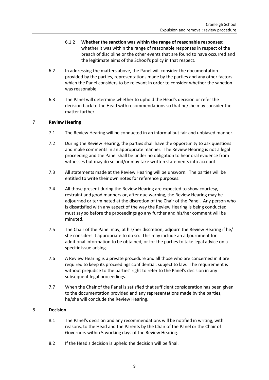- 6.1.2 **Whether the sanction was within the range of reasonable responses**: whether it was within the range of reasonable responses in respect of the breach of discipline or the other events that are found to have occurred and the legitimate aims of the School's policy in that respect.
- 6.2 In addressing the matters above, the Panel will consider the documentation provided by the parties, representations made by the parties and any other factors which the Panel considers to be relevant in order to consider whether the sanction was reasonable.
- 6.3 The Panel will determine whether to uphold the Head's decision or refer the decision back to the Head with recommendations so that he/she may consider the matter further.

# 7 **Review Hearing**

- 7.1 The Review Hearing will be conducted in an informal but fair and unbiased manner.
- 7.2 During the Review Hearing, the parties shall have the opportunity to ask questions and make comments in an appropriate manner. The Review Hearing is not a legal proceeding and the Panel shall be under no obligation to hear oral evidence from witnesses but may do so and/or may take written statements into account.
- 7.3 All statements made at the Review Hearing will be unsworn. The parties will be entitled to write their own notes for reference purposes.
- 7.4 All those present during the Review Hearing are expected to show courtesy, restraint and good manners or, after due warning, the Review Hearing may be adjourned or terminated at the discretion of the Chair of the Panel. Any person who is dissatisfied with any aspect of the way the Review Hearing is being conducted must say so before the proceedings go any further and his/her comment will be minuted.
- 7.5 The Chair of the Panel may, at his/her discretion, adjourn the Review Hearing if he/ she considers it appropriate to do so. This may include an adjournment for additional information to be obtained, or for the parties to take legal advice on a specific issue arising.
- 7.6 A Review Hearing is a private procedure and all those who are concerned in it are required to keep its proceedings confidential, subject to law. The requirement is without prejudice to the parties' right to refer to the Panel's decision in any subsequent legal proceedings.
- 7.7 When the Chair of the Panel is satisfied that sufficient consideration has been given to the documentation provided and any representations made by the parties, he/she will conclude the Review Hearing.

# 8 **Decision**

- 8.1 The Panel's decision and any recommendations will be notified in writing, with reasons, to the Head and the Parents by the Chair of the Panel or the Chair of Governors within 5 working days of the Review Hearing.
- 8.2 If the Head's decision is upheld the decision will be final.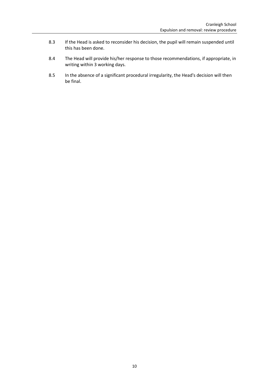- 8.3 If the Head is asked to reconsider his decision, the pupil will remain suspended until this has been done.
- 8.4 The Head will provide his/her response to those recommendations, if appropriate, in writing within 3 working days.
- 8.5 In the absence of a significant procedural irregularity, the Head's decision will then be final.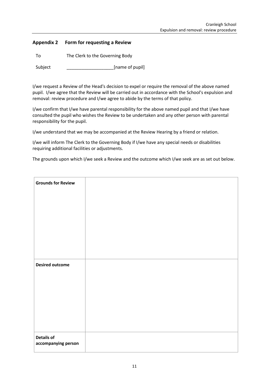# <span id="page-10-0"></span>**Appendix 2 Form for requesting a Review**

To The Clerk to the Governing Body

Subject [name of pupil]

I/we request a Review of the Head's decision to expel or require the removal of the above named pupil. I/we agree that the Review will be carried out in accordance with the School's expulsion and removal: review procedure and I/we agree to abide by the terms of that policy.

I/we confirm that I/we have parental responsibility for the above named pupil and that I/we have consulted the pupil who wishes the Review to be undertaken and any other person with parental responsibility for the pupil.

I/we understand that we may be accompanied at the Review Hearing by a friend or relation.

I/we will inform The Clerk to the Governing Body if I/we have any special needs or disabilities requiring additional facilities or adjustments.

The grounds upon which I/we seek a Review and the outcome which I/we seek are as set out below.

| <b>Grounds for Review</b>                |  |
|------------------------------------------|--|
|                                          |  |
|                                          |  |
|                                          |  |
|                                          |  |
|                                          |  |
|                                          |  |
| <b>Desired outcome</b>                   |  |
|                                          |  |
|                                          |  |
|                                          |  |
|                                          |  |
|                                          |  |
| <b>Details of</b><br>accompanying person |  |